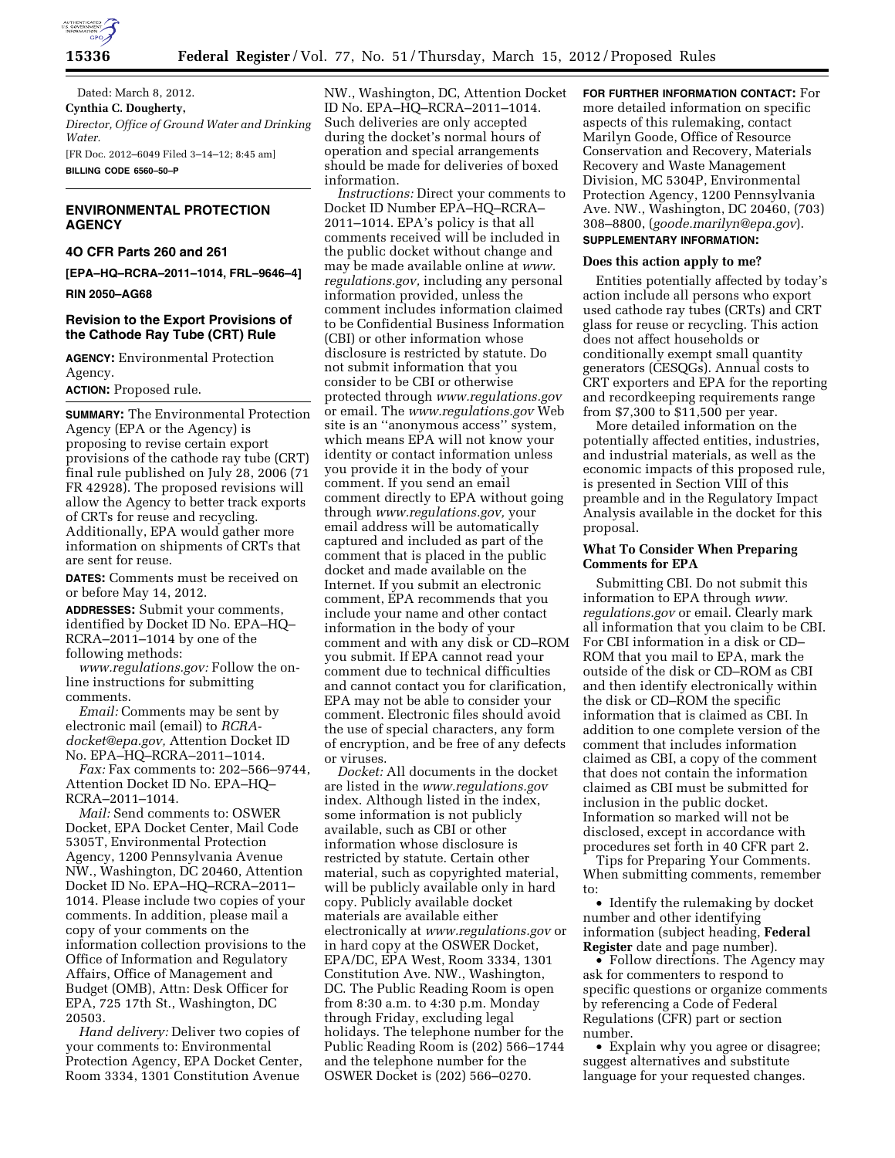

Dated: March 8, 2012. **Cynthia C. Dougherty,**  *Director, Office of Ground Water and Drinking Water.*  [FR Doc. 2012–6049 Filed 3–14–12; 8:45 am] **BILLING CODE 6560–50–P** 

# **ENVIRONMENTAL PROTECTION AGENCY**

#### **4O CFR Parts 260 and 261**

**[EPA–HQ–RCRA–2011–1014, FRL–9646–4]** 

**RIN 2050–AG68** 

### **Revision to the Export Provisions of the Cathode Ray Tube (CRT) Rule**

**AGENCY:** Environmental Protection Agency.

**ACTION:** Proposed rule.

**SUMMARY:** The Environmental Protection Agency (EPA or the Agency) is proposing to revise certain export provisions of the cathode ray tube (CRT) final rule published on July 28, 2006 (71 FR 42928). The proposed revisions will allow the Agency to better track exports of CRTs for reuse and recycling. Additionally, EPA would gather more information on shipments of CRTs that are sent for reuse.

**DATES:** Comments must be received on or before May 14, 2012.

**ADDRESSES:** Submit your comments, identified by Docket ID No. EPA–HQ– RCRA–2011–1014 by one of the following methods:

*[www.regulations.gov:](http://www.regulations.gov)* Follow the online instructions for submitting comments.

*Email:* Comments may be sent by electronic mail (email) to *[RCRA](mailto:RCRA-docket@epa.gov)[docket@epa.gov,](mailto:RCRA-docket@epa.gov)* Attention Docket ID No. EPA–HQ–RCRA–2011–1014.

*Fax:* Fax comments to: 202–566–9744, Attention Docket ID No. EPA–HQ– RCRA–2011–1014.

*Mail:* Send comments to: OSWER Docket, EPA Docket Center, Mail Code 5305T, Environmental Protection Agency, 1200 Pennsylvania Avenue NW., Washington, DC 20460, Attention Docket ID No. EPA–HQ–RCRA–2011– 1014. Please include two copies of your comments. In addition, please mail a copy of your comments on the information collection provisions to the Office of Information and Regulatory Affairs, Office of Management and Budget (OMB), Attn: Desk Officer for EPA, 725 17th St., Washington, DC 20503.

*Hand delivery:* Deliver two copies of your comments to: Environmental Protection Agency, EPA Docket Center, Room 3334, 1301 Constitution Avenue

NW., Washington, DC, Attention Docket ID No. EPA–HQ–RCRA–2011–1014. Such deliveries are only accepted during the docket's normal hours of operation and special arrangements should be made for deliveries of boxed information.

*Instructions:* Direct your comments to Docket ID Number EPA–HQ–RCRA– 2011–1014. EPA's policy is that all comments received will be included in the public docket without change and may be made available online at *[www.](http://www.regulations.gov) [regulations.gov,](http://www.regulations.gov)* including any personal information provided, unless the comment includes information claimed to be Confidential Business Information (CBI) or other information whose disclosure is restricted by statute. Do not submit information that you consider to be CBI or otherwise protected through *[www.regulations.gov](http://www.regulations.gov)*  or email. The *[www.regulations.gov](http://www.regulations.gov)* Web site is an ''anonymous access'' system, which means EPA will not know your identity or contact information unless you provide it in the body of your comment. If you send an email comment directly to EPA without going through *[www.regulations.gov,](http://www.regulations.gov)* your email address will be automatically captured and included as part of the comment that is placed in the public docket and made available on the Internet. If you submit an electronic comment, EPA recommends that you include your name and other contact information in the body of your comment and with any disk or CD–ROM you submit. If EPA cannot read your comment due to technical difficulties and cannot contact you for clarification, EPA may not be able to consider your comment. Electronic files should avoid the use of special characters, any form of encryption, and be free of any defects or viruses.

*Docket:* All documents in the docket are listed in the *[www.regulations.gov](http://www.regulations.gov)*  index. Although listed in the index, some information is not publicly available, such as CBI or other information whose disclosure is restricted by statute. Certain other material, such as copyrighted material, will be publicly available only in hard copy. Publicly available docket materials are available either electronically at *[www.regulations.gov](http://www.regulations.gov)* or in hard copy at the OSWER Docket, EPA/DC, EPA West, Room 3334, 1301 Constitution Ave. NW., Washington, DC. The Public Reading Room is open from 8:30 a.m. to 4:30 p.m. Monday through Friday, excluding legal holidays. The telephone number for the Public Reading Room is (202) 566–1744 and the telephone number for the OSWER Docket is (202) 566–0270.

**FOR FURTHER INFORMATION CONTACT:** For more detailed information on specific aspects of this rulemaking, contact Marilyn Goode, Office of Resource Conservation and Recovery, Materials Recovery and Waste Management Division, MC 5304P, Environmental Protection Agency, 1200 Pennsylvania Ave. NW., Washington, DC 20460, (703) 308–8800, (*[goode.marilyn@epa.gov](mailto:goode.marilyn@epa.gov)*). **SUPPLEMENTARY INFORMATION:** 

# **Does this action apply to me?**

Entities potentially affected by today's action include all persons who export used cathode ray tubes (CRTs) and CRT glass for reuse or recycling. This action does not affect households or conditionally exempt small quantity generators (CESQGs). Annual costs to CRT exporters and EPA for the reporting and recordkeeping requirements range from \$7,300 to \$11,500 per year.

More detailed information on the potentially affected entities, industries, and industrial materials, as well as the economic impacts of this proposed rule, is presented in Section VIII of this preamble and in the Regulatory Impact Analysis available in the docket for this proposal.

### **What To Consider When Preparing Comments for EPA**

Submitting CBI. Do not submit this information to EPA through *[www.](http://www.regulations.gov) [regulations.gov](http://www.regulations.gov)* or email. Clearly mark all information that you claim to be CBI. For CBI information in a disk or CD– ROM that you mail to EPA, mark the outside of the disk or CD–ROM as CBI and then identify electronically within the disk or CD–ROM the specific information that is claimed as CBI. In addition to one complete version of the comment that includes information claimed as CBI, a copy of the comment that does not contain the information claimed as CBI must be submitted for inclusion in the public docket. Information so marked will not be disclosed, except in accordance with procedures set forth in 40 CFR part 2.

Tips for Preparing Your Comments. When submitting comments, remember to:

• Identify the rulemaking by docket number and other identifying information (subject heading, **Federal Register** date and page number).

• Follow directions. The Agency may ask for commenters to respond to specific questions or organize comments by referencing a Code of Federal Regulations (CFR) part or section number.

• Explain why you agree or disagree; suggest alternatives and substitute language for your requested changes.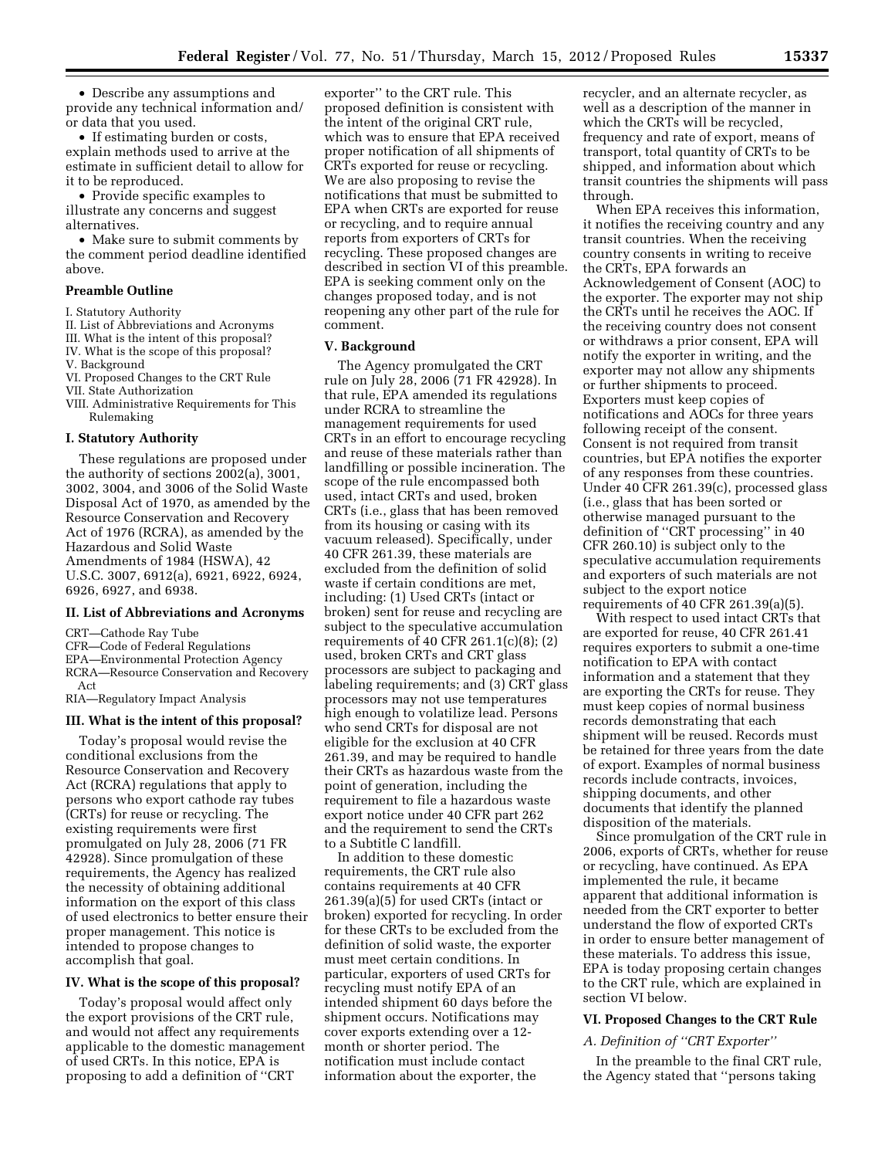• Describe any assumptions and provide any technical information and/ or data that you used.

• If estimating burden or costs, explain methods used to arrive at the estimate in sufficient detail to allow for it to be reproduced.

• Provide specific examples to illustrate any concerns and suggest alternatives.

• Make sure to submit comments by the comment period deadline identified above.

## **Preamble Outline**

### I. Statutory Authority

II. List of Abbreviations and Acronyms

- III. What is the intent of this proposal?
- IV. What is the scope of this proposal?
- V. Background

#### VI. Proposed Changes to the CRT Rule VII. State Authorization

VIII. Administrative Requirements for This Rulemaking

#### **I. Statutory Authority**

These regulations are proposed under the authority of sections 2002(a), 3001, 3002, 3004, and 3006 of the Solid Waste Disposal Act of 1970, as amended by the Resource Conservation and Recovery Act of 1976 (RCRA), as amended by the Hazardous and Solid Waste Amendments of 1984 (HSWA), 42 U.S.C. 3007, 6912(a), 6921, 6922, 6924, 6926, 6927, and 6938.

#### **II. List of Abbreviations and Acronyms**

CRT—Cathode Ray Tube

CFR—Code of Federal Regulations

EPA—Environmental Protection Agency

RCRA—Resource Conservation and Recovery Act

RIA—Regulatory Impact Analysis

#### **III. What is the intent of this proposal?**

Today's proposal would revise the conditional exclusions from the Resource Conservation and Recovery Act (RCRA) regulations that apply to persons who export cathode ray tubes (CRTs) for reuse or recycling. The existing requirements were first promulgated on July 28, 2006 (71 FR 42928). Since promulgation of these requirements, the Agency has realized the necessity of obtaining additional information on the export of this class of used electronics to better ensure their proper management. This notice is intended to propose changes to accomplish that goal.

#### **IV. What is the scope of this proposal?**

Today's proposal would affect only the export provisions of the CRT rule, and would not affect any requirements applicable to the domestic management of used CRTs. In this notice, EPA is proposing to add a definition of ''CRT

exporter'' to the CRT rule. This proposed definition is consistent with the intent of the original CRT rule, which was to ensure that EPA received proper notification of all shipments of CRTs exported for reuse or recycling. We are also proposing to revise the notifications that must be submitted to EPA when CRTs are exported for reuse or recycling, and to require annual reports from exporters of CRTs for recycling. These proposed changes are described in section VI of this preamble. EPA is seeking comment only on the changes proposed today, and is not reopening any other part of the rule for comment.

#### **V. Background**

The Agency promulgated the CRT rule on July 28, 2006 (71 FR 42928). In that rule, EPA amended its regulations under RCRA to streamline the management requirements for used CRTs in an effort to encourage recycling and reuse of these materials rather than landfilling or possible incineration. The scope of the rule encompassed both used, intact CRTs and used, broken CRTs (i.e., glass that has been removed from its housing or casing with its vacuum released). Specifically, under 40 CFR 261.39, these materials are excluded from the definition of solid waste if certain conditions are met, including: (1) Used CRTs (intact or broken) sent for reuse and recycling are subject to the speculative accumulation requirements of 40 CFR 261.1(c)(8); (2) used, broken CRTs and CRT glass processors are subject to packaging and labeling requirements; and (3) CRT glass processors may not use temperatures high enough to volatilize lead. Persons who send CRTs for disposal are not eligible for the exclusion at 40 CFR 261.39, and may be required to handle their CRTs as hazardous waste from the point of generation, including the requirement to file a hazardous waste export notice under 40 CFR part 262 and the requirement to send the CRTs to a Subtitle C landfill.

In addition to these domestic requirements, the CRT rule also contains requirements at 40 CFR 261.39(a)(5) for used CRTs (intact or broken) exported for recycling. In order for these CRTs to be excluded from the definition of solid waste, the exporter must meet certain conditions. In particular, exporters of used CRTs for recycling must notify EPA of an intended shipment 60 days before the shipment occurs. Notifications may cover exports extending over a 12 month or shorter period. The notification must include contact information about the exporter, the

recycler, and an alternate recycler, as well as a description of the manner in which the CRTs will be recycled, frequency and rate of export, means of transport, total quantity of CRTs to be shipped, and information about which transit countries the shipments will pass through.

When EPA receives this information, it notifies the receiving country and any transit countries. When the receiving country consents in writing to receive the CRTs, EPA forwards an Acknowledgement of Consent (AOC) to the exporter. The exporter may not ship the CRTs until he receives the AOC. If the receiving country does not consent or withdraws a prior consent, EPA will notify the exporter in writing, and the exporter may not allow any shipments or further shipments to proceed. Exporters must keep copies of notifications and AOCs for three years following receipt of the consent. Consent is not required from transit countries, but EPA notifies the exporter of any responses from these countries. Under 40 CFR 261.39(c), processed glass (i.e., glass that has been sorted or otherwise managed pursuant to the definition of ''CRT processing'' in 40 CFR 260.10) is subject only to the speculative accumulation requirements and exporters of such materials are not subject to the export notice requirements of 40 CFR 261.39(a)(5).

With respect to used intact CRTs that are exported for reuse, 40 CFR 261.41 requires exporters to submit a one-time notification to EPA with contact information and a statement that they are exporting the CRTs for reuse. They must keep copies of normal business records demonstrating that each shipment will be reused. Records must be retained for three years from the date of export. Examples of normal business records include contracts, invoices, shipping documents, and other documents that identify the planned disposition of the materials.

Since promulgation of the CRT rule in 2006, exports of CRTs, whether for reuse or recycling, have continued. As EPA implemented the rule, it became apparent that additional information is needed from the CRT exporter to better understand the flow of exported CRTs in order to ensure better management of these materials. To address this issue, EPA is today proposing certain changes to the CRT rule, which are explained in section VI below.

#### **VI. Proposed Changes to the CRT Rule**

#### *A. Definition of ''CRT Exporter''*

In the preamble to the final CRT rule, the Agency stated that ''persons taking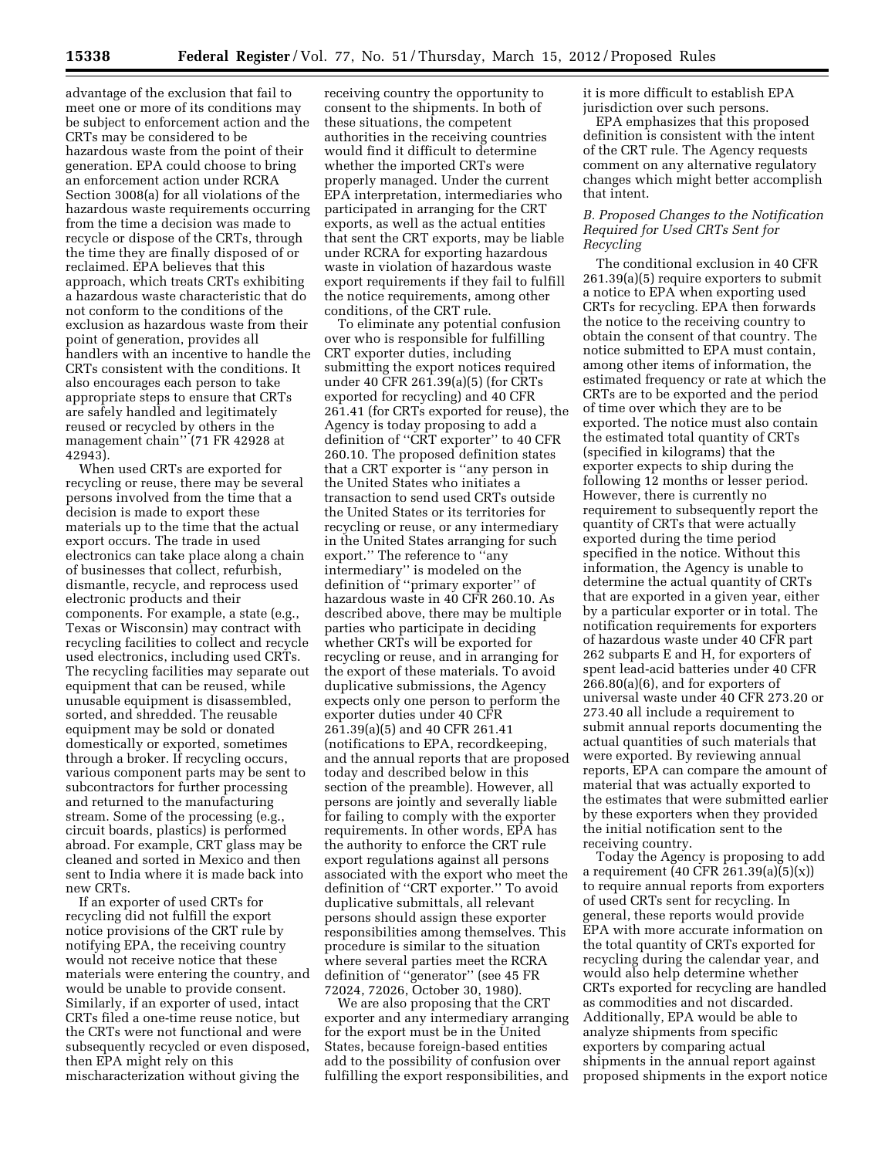advantage of the exclusion that fail to meet one or more of its conditions may be subject to enforcement action and the CRTs may be considered to be hazardous waste from the point of their generation. EPA could choose to bring an enforcement action under RCRA Section 3008(a) for all violations of the hazardous waste requirements occurring from the time a decision was made to recycle or dispose of the CRTs, through the time they are finally disposed of or reclaimed. EPA believes that this approach, which treats CRTs exhibiting a hazardous waste characteristic that do not conform to the conditions of the exclusion as hazardous waste from their point of generation, provides all handlers with an incentive to handle the CRTs consistent with the conditions. It also encourages each person to take appropriate steps to ensure that CRTs are safely handled and legitimately reused or recycled by others in the management chain'' (71 FR 42928 at 42943).

When used CRTs are exported for recycling or reuse, there may be several persons involved from the time that a decision is made to export these materials up to the time that the actual export occurs. The trade in used electronics can take place along a chain of businesses that collect, refurbish, dismantle, recycle, and reprocess used electronic products and their components. For example, a state (e.g., Texas or Wisconsin) may contract with recycling facilities to collect and recycle used electronics, including used CRTs. The recycling facilities may separate out equipment that can be reused, while unusable equipment is disassembled, sorted, and shredded. The reusable equipment may be sold or donated domestically or exported, sometimes through a broker. If recycling occurs, various component parts may be sent to subcontractors for further processing and returned to the manufacturing stream. Some of the processing (e.g., circuit boards, plastics) is performed abroad. For example, CRT glass may be cleaned and sorted in Mexico and then sent to India where it is made back into new CRTs.

If an exporter of used CRTs for recycling did not fulfill the export notice provisions of the CRT rule by notifying EPA, the receiving country would not receive notice that these materials were entering the country, and would be unable to provide consent. Similarly, if an exporter of used, intact CRTs filed a one-time reuse notice, but the CRTs were not functional and were subsequently recycled or even disposed, then EPA might rely on this mischaracterization without giving the

receiving country the opportunity to consent to the shipments. In both of these situations, the competent authorities in the receiving countries would find it difficult to determine whether the imported CRTs were properly managed. Under the current EPA interpretation, intermediaries who participated in arranging for the CRT exports, as well as the actual entities that sent the CRT exports, may be liable under RCRA for exporting hazardous waste in violation of hazardous waste export requirements if they fail to fulfill the notice requirements, among other conditions, of the CRT rule.

To eliminate any potential confusion over who is responsible for fulfilling CRT exporter duties, including submitting the export notices required under 40 CFR 261.39(a)(5) (for CRTs exported for recycling) and 40 CFR 261.41 (for CRTs exported for reuse), the Agency is today proposing to add a definition of ''CRT exporter'' to 40 CFR 260.10. The proposed definition states that a CRT exporter is ''any person in the United States who initiates a transaction to send used CRTs outside the United States or its territories for recycling or reuse, or any intermediary in the United States arranging for such export.'' The reference to ''any intermediary'' is modeled on the definition of ''primary exporter'' of hazardous waste in 40 CFR 260.10. As described above, there may be multiple parties who participate in deciding whether CRTs will be exported for recycling or reuse, and in arranging for the export of these materials. To avoid duplicative submissions, the Agency expects only one person to perform the exporter duties under 40 CFR 261.39(a)(5) and 40 CFR 261.41 (notifications to EPA, recordkeeping, and the annual reports that are proposed today and described below in this section of the preamble). However, all persons are jointly and severally liable for failing to comply with the exporter requirements. In other words, EPA has the authority to enforce the CRT rule export regulations against all persons associated with the export who meet the definition of ''CRT exporter.'' To avoid duplicative submittals, all relevant persons should assign these exporter responsibilities among themselves. This procedure is similar to the situation where several parties meet the RCRA definition of ''generator'' (see 45 FR 72024, 72026, October 30, 1980).

We are also proposing that the CRT exporter and any intermediary arranging for the export must be in the United States, because foreign-based entities add to the possibility of confusion over fulfilling the export responsibilities, and it is more difficult to establish EPA jurisdiction over such persons.

EPA emphasizes that this proposed definition is consistent with the intent of the CRT rule. The Agency requests comment on any alternative regulatory changes which might better accomplish that intent.

### *B. Proposed Changes to the Notification Required for Used CRTs Sent for Recycling*

The conditional exclusion in 40 CFR 261.39(a)(5) require exporters to submit a notice to EPA when exporting used CRTs for recycling. EPA then forwards the notice to the receiving country to obtain the consent of that country. The notice submitted to EPA must contain, among other items of information, the estimated frequency or rate at which the CRTs are to be exported and the period of time over which they are to be exported. The notice must also contain the estimated total quantity of CRTs (specified in kilograms) that the exporter expects to ship during the following 12 months or lesser period. However, there is currently no requirement to subsequently report the quantity of CRTs that were actually exported during the time period specified in the notice. Without this information, the Agency is unable to determine the actual quantity of CRTs that are exported in a given year, either by a particular exporter or in total. The notification requirements for exporters of hazardous waste under 40 CFR part 262 subparts E and H, for exporters of spent lead-acid batteries under 40 CFR 266.80(a)(6), and for exporters of universal waste under 40 CFR 273.20 or 273.40 all include a requirement to submit annual reports documenting the actual quantities of such materials that were exported. By reviewing annual reports, EPA can compare the amount of material that was actually exported to the estimates that were submitted earlier by these exporters when they provided the initial notification sent to the receiving country.

Today the Agency is proposing to add a requirement (40 CFR 261.39(a)(5)(x)) to require annual reports from exporters of used CRTs sent for recycling. In general, these reports would provide EPA with more accurate information on the total quantity of CRTs exported for recycling during the calendar year, and would also help determine whether CRTs exported for recycling are handled as commodities and not discarded. Additionally, EPA would be able to analyze shipments from specific exporters by comparing actual shipments in the annual report against proposed shipments in the export notice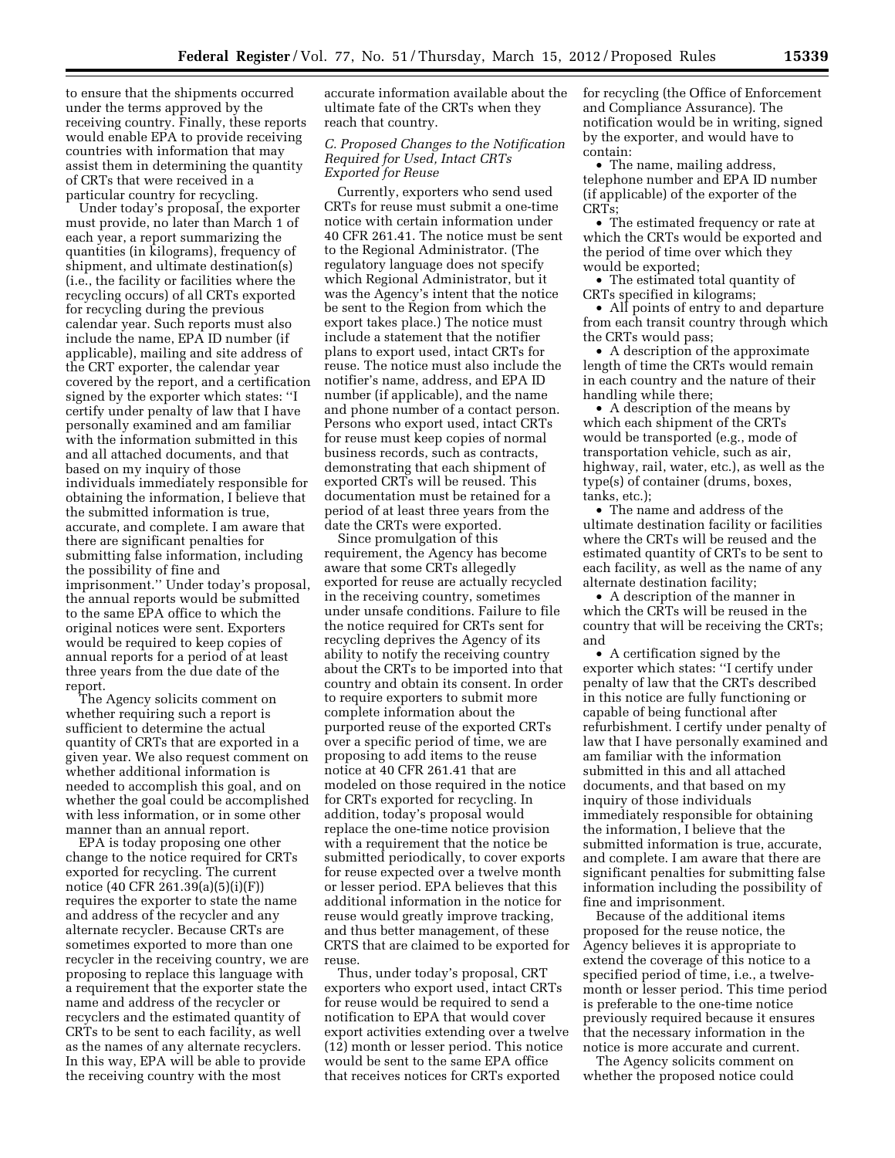to ensure that the shipments occurred under the terms approved by the receiving country. Finally, these reports would enable EPA to provide receiving countries with information that may assist them in determining the quantity of CRTs that were received in a particular country for recycling.

Under today's proposal, the exporter must provide, no later than March 1 of each year, a report summarizing the quantities (in kilograms), frequency of shipment, and ultimate destination(s) (i.e., the facility or facilities where the recycling occurs) of all CRTs exported for recycling during the previous calendar year. Such reports must also include the name, EPA ID number (if applicable), mailing and site address of the CRT exporter, the calendar year covered by the report, and a certification signed by the exporter which states: ''I certify under penalty of law that I have personally examined and am familiar with the information submitted in this and all attached documents, and that based on my inquiry of those individuals immediately responsible for obtaining the information, I believe that the submitted information is true, accurate, and complete. I am aware that there are significant penalties for submitting false information, including the possibility of fine and imprisonment.'' Under today's proposal, the annual reports would be submitted to the same EPA office to which the original notices were sent. Exporters would be required to keep copies of annual reports for a period of at least three years from the due date of the report.

The Agency solicits comment on whether requiring such a report is sufficient to determine the actual quantity of CRTs that are exported in a given year. We also request comment on whether additional information is needed to accomplish this goal, and on whether the goal could be accomplished with less information, or in some other manner than an annual report.

EPA is today proposing one other change to the notice required for CRTs exported for recycling. The current notice (40 CFR 261.39(a)(5)(i)(F)) requires the exporter to state the name and address of the recycler and any alternate recycler. Because CRTs are sometimes exported to more than one recycler in the receiving country, we are proposing to replace this language with a requirement that the exporter state the name and address of the recycler or recyclers and the estimated quantity of CRTs to be sent to each facility, as well as the names of any alternate recyclers. In this way, EPA will be able to provide the receiving country with the most

accurate information available about the ultimate fate of the CRTs when they reach that country.

### *C. Proposed Changes to the Notification Required for Used, Intact CRTs Exported for Reuse*

Currently, exporters who send used CRTs for reuse must submit a one-time notice with certain information under 40 CFR 261.41. The notice must be sent to the Regional Administrator. (The regulatory language does not specify which Regional Administrator, but it was the Agency's intent that the notice be sent to the Region from which the export takes place.) The notice must include a statement that the notifier plans to export used, intact CRTs for reuse. The notice must also include the notifier's name, address, and EPA ID number (if applicable), and the name and phone number of a contact person. Persons who export used, intact CRTs for reuse must keep copies of normal business records, such as contracts, demonstrating that each shipment of exported CRTs will be reused. This documentation must be retained for a period of at least three years from the date the CRTs were exported.

Since promulgation of this requirement, the Agency has become aware that some CRTs allegedly exported for reuse are actually recycled in the receiving country, sometimes under unsafe conditions. Failure to file the notice required for CRTs sent for recycling deprives the Agency of its ability to notify the receiving country about the CRTs to be imported into that country and obtain its consent. In order to require exporters to submit more complete information about the purported reuse of the exported CRTs over a specific period of time, we are proposing to add items to the reuse notice at 40 CFR 261.41 that are modeled on those required in the notice for CRTs exported for recycling. In addition, today's proposal would replace the one-time notice provision with a requirement that the notice be submitted periodically, to cover exports for reuse expected over a twelve month or lesser period. EPA believes that this additional information in the notice for reuse would greatly improve tracking, and thus better management, of these CRTS that are claimed to be exported for reuse.

Thus, under today's proposal, CRT exporters who export used, intact CRTs for reuse would be required to send a notification to EPA that would cover export activities extending over a twelve (12) month or lesser period. This notice would be sent to the same EPA office that receives notices for CRTs exported

for recycling (the Office of Enforcement and Compliance Assurance). The notification would be in writing, signed by the exporter, and would have to contain:

• The name, mailing address, telephone number and EPA ID number (if applicable) of the exporter of the CRTs;

• The estimated frequency or rate at which the CRTs would be exported and the period of time over which they would be exported;

• The estimated total quantity of CRTs specified in kilograms;

• All points of entry to and departure from each transit country through which the CRTs would pass;

• A description of the approximate length of time the CRTs would remain in each country and the nature of their handling while there;

• A description of the means by which each shipment of the CRTs would be transported (e.g., mode of transportation vehicle, such as air, highway, rail, water, etc.), as well as the type(s) of container (drums, boxes, tanks, etc.);

• The name and address of the ultimate destination facility or facilities where the CRTs will be reused and the estimated quantity of CRTs to be sent to each facility, as well as the name of any alternate destination facility;

• A description of the manner in which the CRTs will be reused in the country that will be receiving the CRTs; and

• A certification signed by the exporter which states: ''I certify under penalty of law that the CRTs described in this notice are fully functioning or capable of being functional after refurbishment. I certify under penalty of law that I have personally examined and am familiar with the information submitted in this and all attached documents, and that based on my inquiry of those individuals immediately responsible for obtaining the information, I believe that the submitted information is true, accurate, and complete. I am aware that there are significant penalties for submitting false information including the possibility of fine and imprisonment.

Because of the additional items proposed for the reuse notice, the Agency believes it is appropriate to extend the coverage of this notice to a specified period of time, i.e., a twelvemonth or lesser period. This time period is preferable to the one-time notice previously required because it ensures that the necessary information in the notice is more accurate and current.

The Agency solicits comment on whether the proposed notice could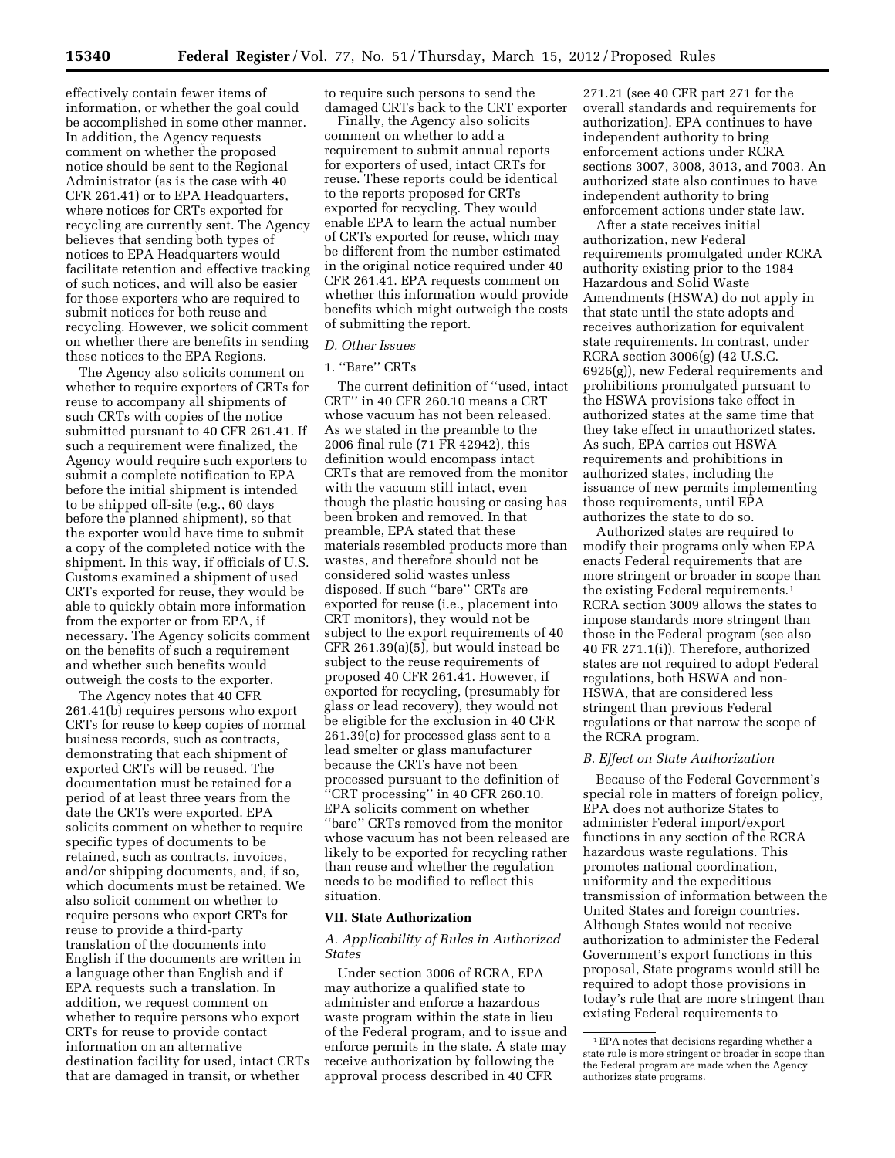effectively contain fewer items of information, or whether the goal could be accomplished in some other manner. In addition, the Agency requests comment on whether the proposed notice should be sent to the Regional Administrator (as is the case with 40 CFR 261.41) or to EPA Headquarters, where notices for CRTs exported for recycling are currently sent. The Agency believes that sending both types of notices to EPA Headquarters would facilitate retention and effective tracking of such notices, and will also be easier for those exporters who are required to submit notices for both reuse and recycling. However, we solicit comment on whether there are benefits in sending these notices to the EPA Regions.

The Agency also solicits comment on whether to require exporters of CRTs for reuse to accompany all shipments of such CRTs with copies of the notice submitted pursuant to 40 CFR 261.41. If such a requirement were finalized, the Agency would require such exporters to submit a complete notification to EPA before the initial shipment is intended to be shipped off-site (e.g., 60 days before the planned shipment), so that the exporter would have time to submit a copy of the completed notice with the shipment. In this way, if officials of U.S. Customs examined a shipment of used CRTs exported for reuse, they would be able to quickly obtain more information from the exporter or from EPA, if necessary. The Agency solicits comment on the benefits of such a requirement and whether such benefits would outweigh the costs to the exporter.

The Agency notes that 40 CFR 261.41(b) requires persons who export CRTs for reuse to keep copies of normal business records, such as contracts, demonstrating that each shipment of exported CRTs will be reused. The documentation must be retained for a period of at least three years from the date the CRTs were exported. EPA solicits comment on whether to require specific types of documents to be retained, such as contracts, invoices, and/or shipping documents, and, if so, which documents must be retained. We also solicit comment on whether to require persons who export CRTs for reuse to provide a third-party translation of the documents into English if the documents are written in a language other than English and if EPA requests such a translation. In addition, we request comment on whether to require persons who export CRTs for reuse to provide contact information on an alternative destination facility for used, intact CRTs that are damaged in transit, or whether

to require such persons to send the damaged CRTs back to the CRT exporter

Finally, the Agency also solicits comment on whether to add a requirement to submit annual reports for exporters of used, intact CRTs for reuse. These reports could be identical to the reports proposed for CRTs exported for recycling. They would enable EPA to learn the actual number of CRTs exported for reuse, which may be different from the number estimated in the original notice required under 40 CFR 261.41. EPA requests comment on whether this information would provide benefits which might outweigh the costs of submitting the report.

#### *D. Other Issues*

#### 1. ''Bare'' CRTs

The current definition of ''used, intact CRT'' in 40 CFR 260.10 means a CRT whose vacuum has not been released. As we stated in the preamble to the 2006 final rule (71 FR 42942), this definition would encompass intact CRTs that are removed from the monitor with the vacuum still intact, even though the plastic housing or casing has been broken and removed. In that preamble, EPA stated that these materials resembled products more than wastes, and therefore should not be considered solid wastes unless disposed. If such ''bare'' CRTs are exported for reuse (i.e., placement into CRT monitors), they would not be subject to the export requirements of 40 CFR 261.39(a)(5), but would instead be subject to the reuse requirements of proposed 40 CFR 261.41. However, if exported for recycling, (presumably for glass or lead recovery), they would not be eligible for the exclusion in 40 CFR 261.39(c) for processed glass sent to a lead smelter or glass manufacturer because the CRTs have not been processed pursuant to the definition of ''CRT processing'' in 40 CFR 260.10. EPA solicits comment on whether ''bare'' CRTs removed from the monitor whose vacuum has not been released are likely to be exported for recycling rather than reuse and whether the regulation needs to be modified to reflect this situation.

#### **VII. State Authorization**

#### *A. Applicability of Rules in Authorized States*

Under section 3006 of RCRA, EPA may authorize a qualified state to administer and enforce a hazardous waste program within the state in lieu of the Federal program, and to issue and enforce permits in the state. A state may receive authorization by following the approval process described in 40 CFR

271.21 (see 40 CFR part 271 for the overall standards and requirements for authorization). EPA continues to have independent authority to bring enforcement actions under RCRA sections 3007, 3008, 3013, and 7003. An authorized state also continues to have independent authority to bring enforcement actions under state law.

After a state receives initial authorization, new Federal requirements promulgated under RCRA authority existing prior to the 1984 Hazardous and Solid Waste Amendments (HSWA) do not apply in that state until the state adopts and receives authorization for equivalent state requirements. In contrast, under RCRA section 3006(g) (42 U.S.C. 6926(g)), new Federal requirements and prohibitions promulgated pursuant to the HSWA provisions take effect in authorized states at the same time that they take effect in unauthorized states. As such, EPA carries out HSWA requirements and prohibitions in authorized states, including the issuance of new permits implementing those requirements, until EPA authorizes the state to do so.

Authorized states are required to modify their programs only when EPA enacts Federal requirements that are more stringent or broader in scope than the existing Federal requirements.1 RCRA section 3009 allows the states to impose standards more stringent than those in the Federal program (see also 40 FR 271.1(i)). Therefore, authorized states are not required to adopt Federal regulations, both HSWA and non-HSWA, that are considered less stringent than previous Federal regulations or that narrow the scope of the RCRA program.

#### *B. Effect on State Authorization*

Because of the Federal Government's special role in matters of foreign policy, EPA does not authorize States to administer Federal import/export functions in any section of the RCRA hazardous waste regulations. This promotes national coordination, uniformity and the expeditious transmission of information between the United States and foreign countries. Although States would not receive authorization to administer the Federal Government's export functions in this proposal, State programs would still be required to adopt those provisions in today's rule that are more stringent than existing Federal requirements to

<sup>1</sup>EPA notes that decisions regarding whether a state rule is more stringent or broader in scope than the Federal program are made when the Agency authorizes state programs.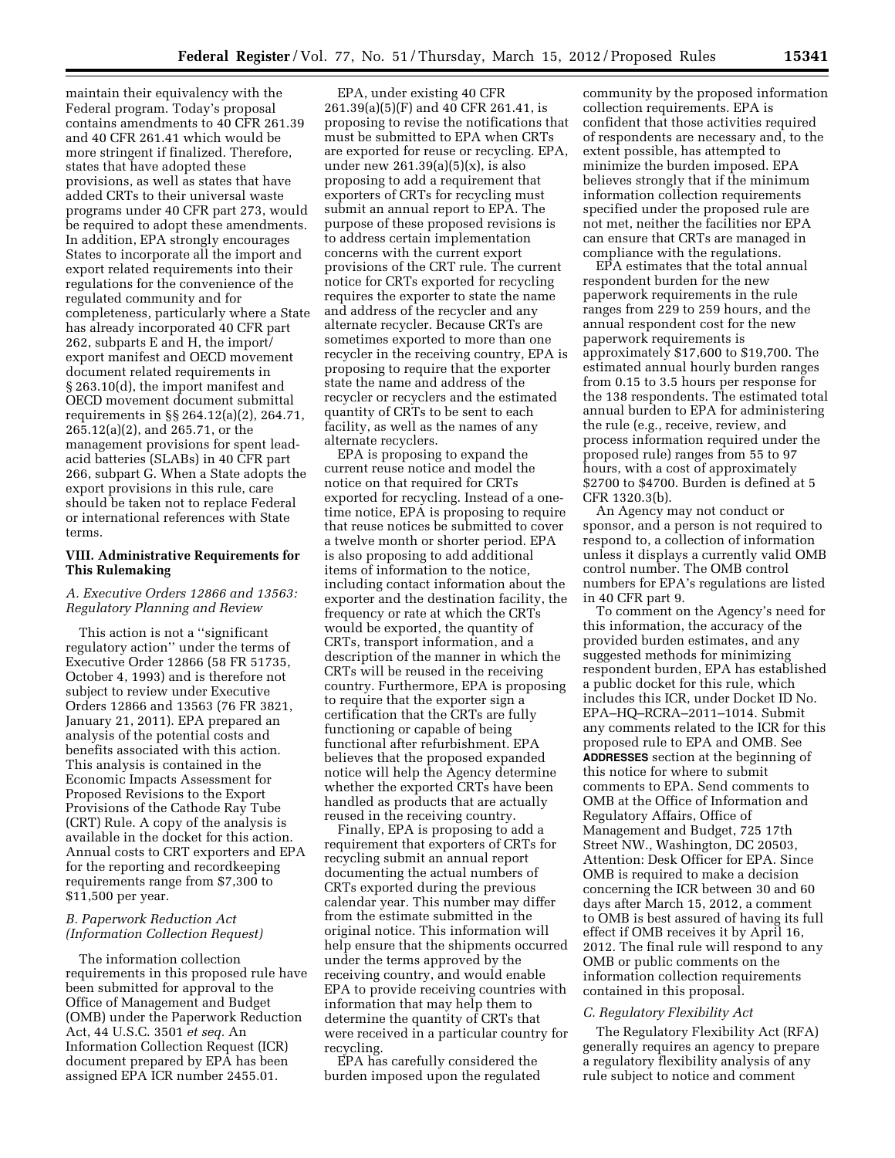maintain their equivalency with the Federal program. Today's proposal contains amendments to 40 CFR 261.39 and 40 CFR 261.41 which would be more stringent if finalized. Therefore, states that have adopted these provisions, as well as states that have added CRTs to their universal waste programs under 40 CFR part 273, would be required to adopt these amendments. In addition, EPA strongly encourages States to incorporate all the import and export related requirements into their regulations for the convenience of the regulated community and for completeness, particularly where a State has already incorporated 40 CFR part 262, subparts E and H, the import/ export manifest and OECD movement document related requirements in § 263.10(d), the import manifest and OECD movement document submittal requirements in §§ 264.12(a)(2), 264.71, 265.12(a)(2), and 265.71, or the management provisions for spent leadacid batteries (SLABs) in 40 CFR part 266, subpart G. When a State adopts the export provisions in this rule, care should be taken not to replace Federal or international references with State terms.

### **VIII. Administrative Requirements for This Rulemaking**

### *A. Executive Orders 12866 and 13563: Regulatory Planning and Review*

This action is not a ''significant regulatory action'' under the terms of Executive Order 12866 (58 FR 51735, October 4, 1993) and is therefore not subject to review under Executive Orders 12866 and 13563 (76 FR 3821, January 21, 2011). EPA prepared an analysis of the potential costs and benefits associated with this action. This analysis is contained in the Economic Impacts Assessment for Proposed Revisions to the Export Provisions of the Cathode Ray Tube (CRT) Rule. A copy of the analysis is available in the docket for this action. Annual costs to CRT exporters and EPA for the reporting and recordkeeping requirements range from \$7,300 to \$11,500 per year.

### *B. Paperwork Reduction Act (Information Collection Request)*

The information collection requirements in this proposed rule have been submitted for approval to the Office of Management and Budget (OMB) under the Paperwork Reduction Act, 44 U.S.C. 3501 *et seq.* An Information Collection Request (ICR) document prepared by EPA has been assigned EPA ICR number 2455.01.

EPA, under existing 40 CFR 261.39(a)(5)(F) and 40 CFR 261.41, is proposing to revise the notifications that must be submitted to EPA when CRTs are exported for reuse or recycling. EPA, under new  $261.39(a)(5)(x)$ , is also proposing to add a requirement that exporters of CRTs for recycling must submit an annual report to EPA. The purpose of these proposed revisions is to address certain implementation concerns with the current export provisions of the CRT rule. The current notice for CRTs exported for recycling requires the exporter to state the name and address of the recycler and any alternate recycler. Because CRTs are sometimes exported to more than one recycler in the receiving country, EPA is proposing to require that the exporter state the name and address of the recycler or recyclers and the estimated quantity of CRTs to be sent to each facility, as well as the names of any alternate recyclers.

EPA is proposing to expand the current reuse notice and model the notice on that required for CRTs exported for recycling. Instead of a onetime notice, EPA is proposing to require that reuse notices be submitted to cover a twelve month or shorter period. EPA is also proposing to add additional items of information to the notice, including contact information about the exporter and the destination facility, the frequency or rate at which the CRTs would be exported, the quantity of CRTs, transport information, and a description of the manner in which the CRTs will be reused in the receiving country. Furthermore, EPA is proposing to require that the exporter sign a certification that the CRTs are fully functioning or capable of being functional after refurbishment. EPA believes that the proposed expanded notice will help the Agency determine whether the exported CRTs have been handled as products that are actually reused in the receiving country.

Finally, EPA is proposing to add a requirement that exporters of CRTs for recycling submit an annual report documenting the actual numbers of CRTs exported during the previous calendar year. This number may differ from the estimate submitted in the original notice. This information will help ensure that the shipments occurred under the terms approved by the receiving country, and would enable EPA to provide receiving countries with information that may help them to determine the quantity of CRTs that were received in a particular country for recycling.

EPA has carefully considered the burden imposed upon the regulated community by the proposed information collection requirements. EPA is confident that those activities required of respondents are necessary and, to the extent possible, has attempted to minimize the burden imposed. EPA believes strongly that if the minimum information collection requirements specified under the proposed rule are not met, neither the facilities nor EPA can ensure that CRTs are managed in compliance with the regulations.

EPA estimates that the total annual respondent burden for the new paperwork requirements in the rule ranges from 229 to 259 hours, and the annual respondent cost for the new paperwork requirements is approximately \$17,600 to \$19,700. The estimated annual hourly burden ranges from 0.15 to 3.5 hours per response for the 138 respondents. The estimated total annual burden to EPA for administering the rule (e.g., receive, review, and process information required under the proposed rule) ranges from 55 to 97 hours, with a cost of approximately \$2700 to \$4700. Burden is defined at 5 CFR 1320.3(b).

An Agency may not conduct or sponsor, and a person is not required to respond to, a collection of information unless it displays a currently valid OMB control number. The OMB control numbers for EPA's regulations are listed in 40 CFR part 9.

To comment on the Agency's need for this information, the accuracy of the provided burden estimates, and any suggested methods for minimizing respondent burden, EPA has established a public docket for this rule, which includes this ICR, under Docket ID No. EPA–HQ–RCRA–2011–1014. Submit any comments related to the ICR for this proposed rule to EPA and OMB. See **ADDRESSES** section at the beginning of this notice for where to submit comments to EPA. Send comments to OMB at the Office of Information and Regulatory Affairs, Office of Management and Budget, 725 17th Street NW., Washington, DC 20503, Attention: Desk Officer for EPA. Since OMB is required to make a decision concerning the ICR between 30 and 60 days after March 15, 2012, a comment to OMB is best assured of having its full effect if OMB receives it by April 16, 2012. The final rule will respond to any OMB or public comments on the information collection requirements contained in this proposal.

#### *C. Regulatory Flexibility Act*

The Regulatory Flexibility Act (RFA) generally requires an agency to prepare a regulatory flexibility analysis of any rule subject to notice and comment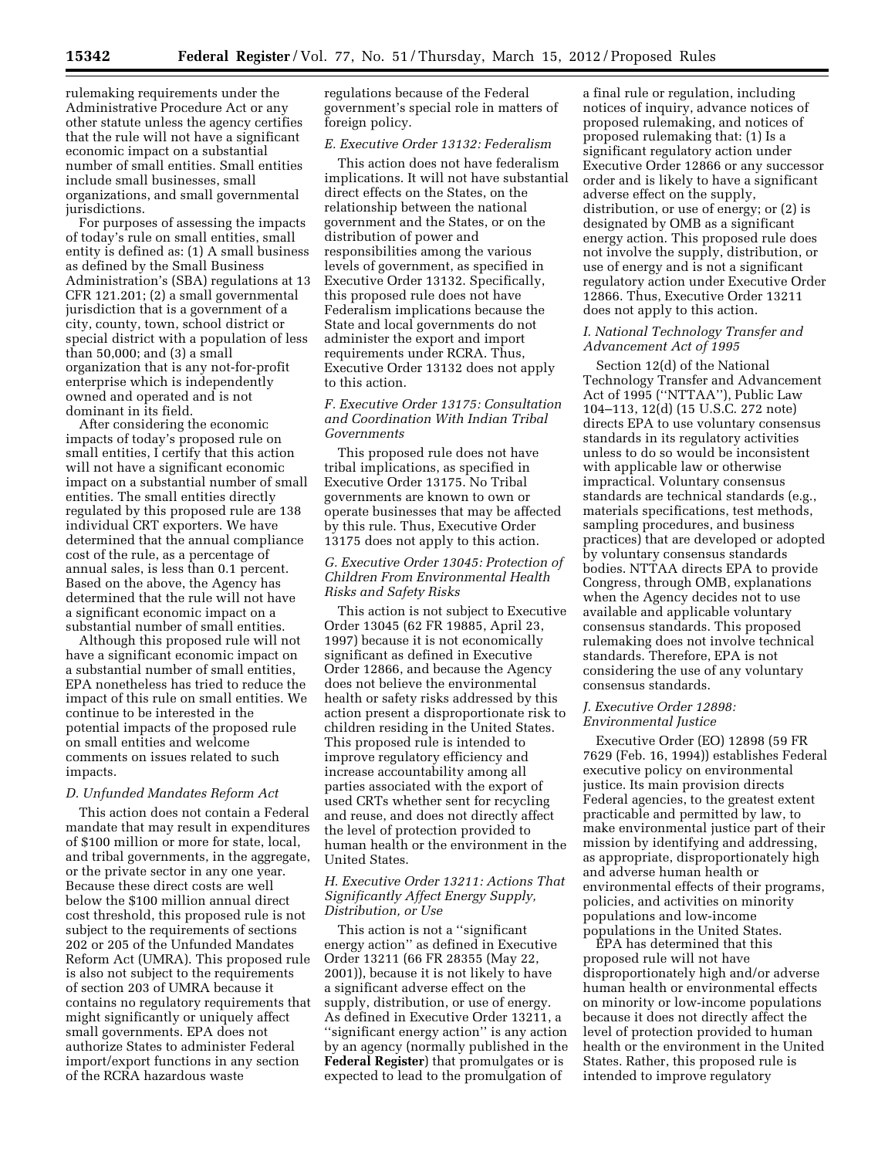rulemaking requirements under the Administrative Procedure Act or any other statute unless the agency certifies that the rule will not have a significant economic impact on a substantial number of small entities. Small entities include small businesses, small organizations, and small governmental jurisdictions.

For purposes of assessing the impacts of today's rule on small entities, small entity is defined as: (1) A small business as defined by the Small Business Administration's (SBA) regulations at 13 CFR 121.201; (2) a small governmental jurisdiction that is a government of a city, county, town, school district or special district with a population of less than 50,000; and (3) a small organization that is any not-for-profit enterprise which is independently owned and operated and is not dominant in its field.

After considering the economic impacts of today's proposed rule on small entities, I certify that this action will not have a significant economic impact on a substantial number of small entities. The small entities directly regulated by this proposed rule are 138 individual CRT exporters. We have determined that the annual compliance cost of the rule, as a percentage of annual sales, is less than 0.1 percent. Based on the above, the Agency has determined that the rule will not have a significant economic impact on a substantial number of small entities.

Although this proposed rule will not have a significant economic impact on a substantial number of small entities, EPA nonetheless has tried to reduce the impact of this rule on small entities. We continue to be interested in the potential impacts of the proposed rule on small entities and welcome comments on issues related to such impacts.

#### *D. Unfunded Mandates Reform Act*

This action does not contain a Federal mandate that may result in expenditures of \$100 million or more for state, local, and tribal governments, in the aggregate, or the private sector in any one year. Because these direct costs are well below the \$100 million annual direct cost threshold, this proposed rule is not subject to the requirements of sections 202 or 205 of the Unfunded Mandates Reform Act (UMRA). This proposed rule is also not subject to the requirements of section 203 of UMRA because it contains no regulatory requirements that might significantly or uniquely affect small governments. EPA does not authorize States to administer Federal import/export functions in any section of the RCRA hazardous waste

regulations because of the Federal government's special role in matters of foreign policy.

#### *E. Executive Order 13132: Federalism*

This action does not have federalism implications. It will not have substantial direct effects on the States, on the relationship between the national government and the States, or on the distribution of power and responsibilities among the various levels of government, as specified in Executive Order 13132. Specifically, this proposed rule does not have Federalism implications because the State and local governments do not administer the export and import requirements under RCRA. Thus, Executive Order 13132 does not apply to this action.

### *F. Executive Order 13175: Consultation and Coordination With Indian Tribal Governments*

This proposed rule does not have tribal implications, as specified in Executive Order 13175. No Tribal governments are known to own or operate businesses that may be affected by this rule. Thus, Executive Order 13175 does not apply to this action.

### *G. Executive Order 13045: Protection of Children From Environmental Health Risks and Safety Risks*

This action is not subject to Executive Order 13045 (62 FR 19885, April 23, 1997) because it is not economically significant as defined in Executive Order 12866, and because the Agency does not believe the environmental health or safety risks addressed by this action present a disproportionate risk to children residing in the United States. This proposed rule is intended to improve regulatory efficiency and increase accountability among all parties associated with the export of used CRTs whether sent for recycling and reuse, and does not directly affect the level of protection provided to human health or the environment in the United States.

#### *H. Executive Order 13211: Actions That Significantly Affect Energy Supply, Distribution, or Use*

This action is not a ''significant energy action'' as defined in Executive Order 13211 (66 FR 28355 (May 22, 2001)), because it is not likely to have a significant adverse effect on the supply, distribution, or use of energy. As defined in Executive Order 13211, a "significant energy action" is any action by an agency (normally published in the **Federal Register**) that promulgates or is expected to lead to the promulgation of

a final rule or regulation, including notices of inquiry, advance notices of proposed rulemaking, and notices of proposed rulemaking that: (1) Is a significant regulatory action under Executive Order 12866 or any successor order and is likely to have a significant adverse effect on the supply, distribution, or use of energy; or (2) is designated by OMB as a significant energy action. This proposed rule does not involve the supply, distribution, or use of energy and is not a significant regulatory action under Executive Order 12866. Thus, Executive Order 13211 does not apply to this action.

#### *I. National Technology Transfer and Advancement Act of 1995*

Section 12(d) of the National Technology Transfer and Advancement Act of 1995 (''NTTAA''), Public Law 104–113, 12(d) (15 U.S.C. 272 note) directs EPA to use voluntary consensus standards in its regulatory activities unless to do so would be inconsistent with applicable law or otherwise impractical. Voluntary consensus standards are technical standards (e.g., materials specifications, test methods, sampling procedures, and business practices) that are developed or adopted by voluntary consensus standards bodies. NTTAA directs EPA to provide Congress, through OMB, explanations when the Agency decides not to use available and applicable voluntary consensus standards. This proposed rulemaking does not involve technical standards. Therefore, EPA is not considering the use of any voluntary consensus standards.

### *J. Executive Order 12898: Environmental Justice*

Executive Order (EO) 12898 (59 FR 7629 (Feb. 16, 1994)) establishes Federal executive policy on environmental justice. Its main provision directs Federal agencies, to the greatest extent practicable and permitted by law, to make environmental justice part of their mission by identifying and addressing, as appropriate, disproportionately high and adverse human health or environmental effects of their programs, policies, and activities on minority populations and low-income populations in the United States.

EPA has determined that this proposed rule will not have disproportionately high and/or adverse human health or environmental effects on minority or low-income populations because it does not directly affect the level of protection provided to human health or the environment in the United States. Rather, this proposed rule is intended to improve regulatory